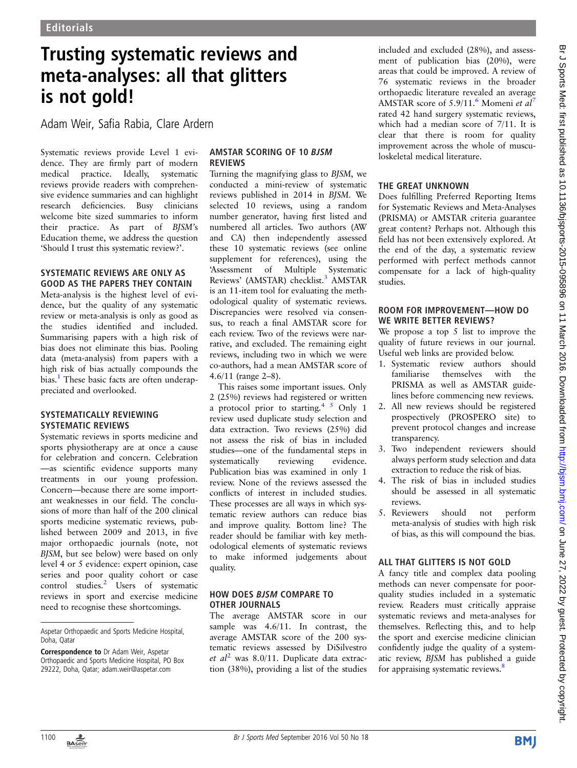# Trusting systematic reviews and meta-analyses: all that glitters is not gold!

Adam Weir, Safia Rabia, Clare Ardern

Systematic reviews provide Level 1 evidence. They are firmly part of modern medical practice. Ideally, systematic reviews provide readers with comprehensive evidence summaries and can highlight research deficiencies. Busy clinicians welcome bite sized summaries to inform their practice. As part of BJSM's Education theme, we address the question 'Should I trust this systematic review?'.

#### SYSTEMATIC REVIEWS ARE ONLY AS GOOD AS THE PAPERS THEY CONTAIN

Meta-analysis is the highest level of evidence, but the quality of any systematic review or meta-analysis is only as good as the studies identified and included. Summarising papers with a high risk of bias does not eliminate this bias. Pooling data (meta-analysis) from papers with a high risk of bias actually compounds the bias.<sup>1</sup> These basic facts are often underappreciated and overlooked.

#### SYSTEMATICALLY REVIEWING SYSTEMATIC REVIEWS

Systematic reviews in sports medicine and sports physiotherapy are at once a cause for celebration and concern. Celebration —as scientific evidence supports many treatments in our young profession. Concern—because there are some important weaknesses in our field. The conclusions of more than half of the 200 clinical sports medicine systematic reviews, published between 2009 and 2013, in five major orthopaedic journals (note, not BJSM, but see below) were based on only level 4 or 5 evidence: expert opinion, case series and poor quality cohort or case control studies.<sup>2</sup> Users of systematic reviews in sport and exercise medicine need to recognise these shortcomings.

## AMSTAR SCORING OF 10 BJSM REVIEWS

Turning the magnifying glass to BJSM, we conducted a mini-review of systematic reviews published in 2014 in BJSM. We selected 10 reviews, using a random number generator, having first listed and numbered all articles. Two authors (AW and CA) then independently assessed these 10 systematic reviews (see online supplement for references), using the 'Assessment of Multiple Systematic Reviews' (AMSTAR) checklist.<sup>3</sup> AMSTAR is an 11-item tool for evaluating the methodological quality of systematic reviews. Discrepancies were resolved via consensus, to reach a final AMSTAR score for each review. Two of the reviews were narrative, and excluded. The remaining eight reviews, including two in which we were co-authors, had a mean AMSTAR score of 4.6/11 (range 2–8).

This raises some important issues. Only 2 (25%) reviews had registered or written a protocol prior to starting.<sup>4 5</sup> Only 1 review used duplicate study selection and data extraction. Two reviews (25%) did not assess the risk of bias in included studies—one of the fundamental steps in systematically reviewing evidence. Publication bias was examined in only 1 review. None of the reviews assessed the conflicts of interest in included studies. These processes are all ways in which systematic review authors can reduce bias and improve quality. Bottom line? The reader should be familiar with key methodological elements of systematic reviews to make informed judgements about quality.

#### HOW DOES BJSM COMPARE TO OTHER JOURNALS

The average AMSTAR score in our sample was 4.6/11. In contrast, the average AMSTAR score of the 200 systematic reviews assessed by DiSilvestro et  $al^2$  was 8.0/11. Duplicate data extraction (38%), providing a list of the studies included and excluded (28%), and assessment of publication bias (20%), were areas that could be improved. A review of 76 systematic reviews in the broader orthopaedic literature revealed an average AMSTAR score of  $5.9/11$ .<sup>6</sup> Momeni et al<sup>7</sup> rated 42 hand surgery systematic reviews, which had a median score of 7/11. It is clear that there is room for quality improvement across the whole of musculoskeletal medical literature.

## THE GREAT UNKNOWN

Does fulfilling Preferred Reporting Items for Systematic Reviews and Meta-Analyses (PRISMA) or AMSTAR criteria guarantee great content? Perhaps not. Although this field has not been extensively explored. At the end of the day, a systematic review performed with perfect methods cannot compensate for a lack of high-quality studies.

## ROOM FOR IMPROVEMENT—HOW DO WE WRITE BETTER REVIEWS?

We propose a top 5 list to improve the quality of future reviews in our journal. Useful web links are provided below.

- 1. Systematic review authors should familiarise themselves with the PRISMA as well as AMSTAR guidelines before commencing new reviews.
- 2. All new reviews should be registered prospectively (PROSPERO site) to prevent protocol changes and increase transparency.
- 3. Two independent reviewers should always perform study selection and data extraction to reduce the risk of bias.
- 4. The risk of bias in included studies should be assessed in all systematic reviews.
- 5. Reviewers should not perform meta-analysis of studies with high risk of bias, as this will compound the bias.

## ALL THAT GLITTERS IS NOT GOLD

A fancy title and complex data pooling methods can never compensate for poorquality studies included in a systematic review. Readers must critically appraise systematic reviews and meta-analyses for themselves. Reflecting this, and to help the sport and exercise medicine clinician confidently judge the quality of a systematic review, BJSM has published a guide for appraising systematic reviews.<sup>8</sup>



Aspetar Orthopaedic and Sports Medicine Hospital, Doha, Qatar

Correspondence to Dr Adam Weir, Aspetar Orthopaedic and Sports Medicine Hospital, PO Box 29222, Doha, Qatar; adam.weir@aspetar.com